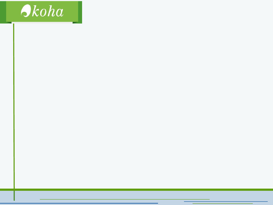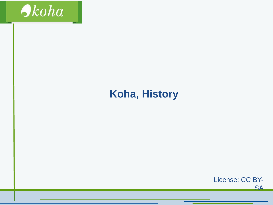

#### **Koha, History**

License: CC BY- $\Delta$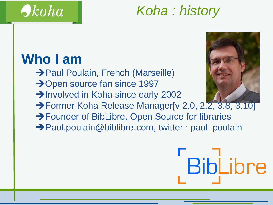#### *Koha : history*

**BibLibre** 

#### **Who I am**

→ Paul Poulain, French (Marseille) **→ Open source fan since 1997** → Involved in Koha since early 2002 → Former Koha Release Manager[v 2.0, 2.2, 3.8, 3.10] Founder of BibLibre, Open Source for libraries → Paul.poulain@biblibre.com, twitter : paul\_poulain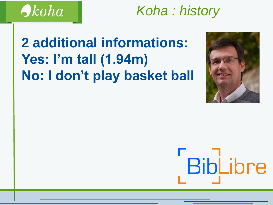

*Koha : history*

# **2 additional informations: Yes: I'm tall (1.94m) No: I don't play basket ball**



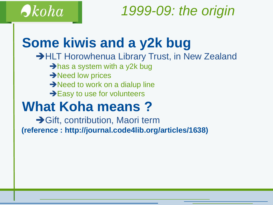#### *1999-09: the origin*

**Some kiwis and a y2k bug** → HLT Horowhenua Library Trust, in New Zealand  $\rightarrow$  has a system with a y2k bug  $\rightarrow$  Need low prices → Need to work on a dialup line **→ Easy to use for volunteers What Koha means ? → Gift, contribution, Maori term (reference : http://journal.code4lib.org/articles/1638)**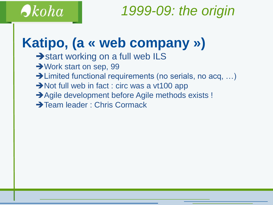#### *1999-09: the origin*

**Katipo, (a « web company »)**  $\rightarrow$  start working on a full web ILS **→ Work start on sep, 99** → Limited functional requirements (no serials, no acq, ...)  $\rightarrow$  Not full web in fact : circ was a vt100 app Agile development before Agile methods exists ! **→ Team leader : Chris Cormack**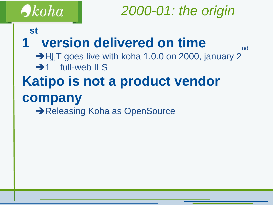*2000-01: the origin*

#### **1 st version delivered on time** HHT goes live with koha 1.0.0 on 2000, january 2 nd  $\rightarrow$  1 full-web ILS **Katipo is not a product vendor company → Releasing Koha as OpenSource**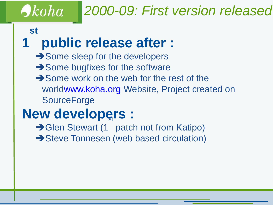#### *2000-09: First version released*  $\boldsymbol{\beta}$ koha

#### **st**

**1**

# **public release after :**

- $\rightarrow$  Some sleep for the developers
- $\rightarrow$  Some bugfixes for the software
- Some work on the web for the rest of the worl[dwww.koha.org](http://www.koha.org/) Website, Project created on **SourceForge**

### **New developers :**

→ Glen Stewart (1 patch not from Katipo) → Steve Tonnesen (web based circulation)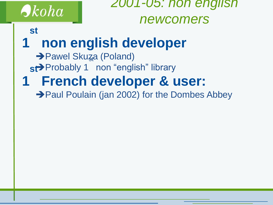#### *2001-05: non english newcomers*

**1 st non english developer** → Pawel Skuza (Poland) st<sup>></sup>Probably 1 non "english" library **1 French developer & user:** 

→ Paul Poulain (jan 2002) for the Dombes Abbey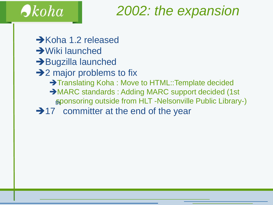#### *2002: the expansion*

 $\rightarrow$ Koha 1.2 released **→ Wiki launched**  $\rightarrow$  Bugzilla launched  $\rightarrow$  2 major problems to fix → Translating Koha: Move to HTML:: Template decided MARC standards : Adding MARC support decided (1st sponsoring outside from HLT -Nelsonville Public Library-) th → 17 committer at the end of the year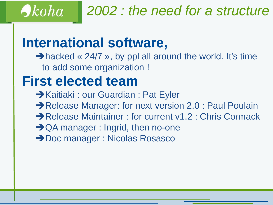### *2002 : the need for a structure*

### **International software,**

 $\rightarrow$  hacked « 24/7 », by ppl all around the world. It's time to add some organization !

#### **First elected team**

Kaitiaki : our Guardian : Pat Eyler Release Manager: for next version 2.0 : Paul Poulain → Release Maintainer : for current v1.2 : Chris Cormack → QA manager : Ingrid, then no-one ◆ Doc manager : Nicolas Rosasco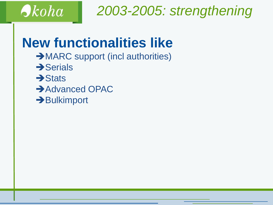### *2003-2005: strengthening*

### **New functionalities like**

- → MARC support (incl authorities)
- $\rightarrow$ Serials
- $\rightarrow$  Stats
- **→ Advanced OPAC**
- $\rightarrow$ Bulkimport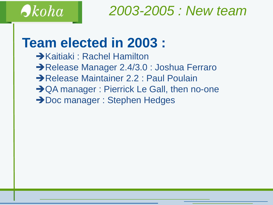#### *2003-2005 : New team*

#### **Team elected in 2003 :**

**→ Kaitiaki : Rachel Hamilton** Release Manager 2.4/3.0 : Joshua Ferraro **→ Release Maintainer 2.2 : Paul Poulain** → QA manager : Pierrick Le Gall, then no-one → Doc manager : Stephen Hedges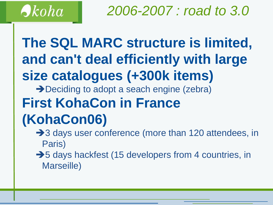*2006-2007 : road to 3.0*

#### **The SQL MARC structure is limited, and can't deal efficiently with large size catalogues (+300k items)** → Deciding to adopt a seach engine (zebra) **First KohaCon in France (KohaCon06)** → 3 days user conference (more than 120 attendees, in Paris)

→5 days hackfest (15 developers from 4 countries, in Marseille)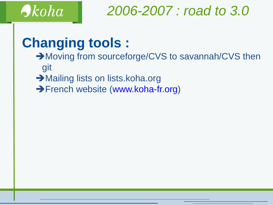#### *2006-2007 : road to 3.0*

### **Changing tools :**

- → Moving from sourceforge/CVS to savannah/CVS then git
- **→ Mailing lists on lists.koha.org**
- French website ([www.koha-fr.org\)](http://www.koha-fr.org/)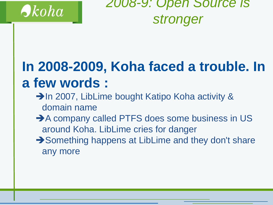

#### *2008-9: Open Source is stronger*

## **In 2008-2009, Koha faced a trouble. In a few words :**

- → In 2007, LibLime bought Katipo Koha activity & domain name
- A company called PTFS does some business in US around Koha. LibLime cries for danger
- **→ Something happens at LibLime and they don't share** any more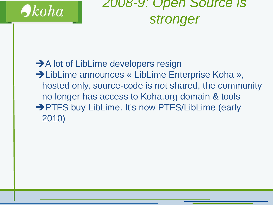

#### *2008-9: Open Source is stronger*

 $\rightarrow$  A lot of LibLime developers resign → LibLime announces « LibLime Enterprise Koha », hosted only, source-code is not shared, the community no longer has access to Koha.org domain & tools → PTFS buy LibLime. It's now PTFS/LibLime (early 2010)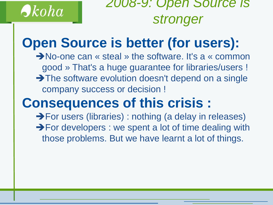#### *2008-9: Open Source is stronger*

### **Open Source is better (for users):**

→ No-one can « steal » the software. It's a « common good » That's a huge guarantee for libraries/users ! The software evolution doesn't depend on a single company success or decision !

### **Consequences of this crisis :**

→ For users (libraries) : nothing (a delay in releases)  $\rightarrow$  For developers : we spent a lot of time dealing with those problems. But we have learnt a lot of things.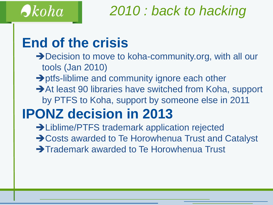### *2010 : back to hacking*

### **End of the crisis**

- **→ Decision to move to koha-community.org, with all our** tools (Jan 2010)
- ptfs-liblime and community ignore each other
- At least 90 libraries have switched from Koha, support by PTFS to Koha, support by someone else in 2011

## **IPONZ decision in 2013**

Liblime/PTFS trademark application rejected ◆ Costs awarded to Te Horowhenua Trust and Catalyst  $\rightarrow$  Trademark awarded to Te Horowhenua Trust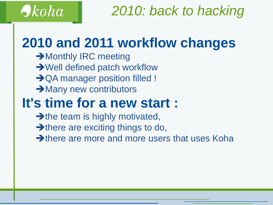### *2010: back to hacking*

# **2010 and 2011 workflow changes**

- → Monthly IRC meeting
- Well defined patch workflow
- → QA manager position filled !
- **→ Many new contributors**

#### **It's time for a new start :**

- $\rightarrow$  the team is highly motivated,
- $\rightarrow$  there are exciting things to do,
- $\rightarrow$  there are more and more users that uses Koha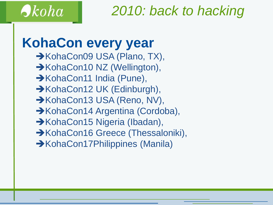### *2010: back to hacking*

**KohaCon every year** → KohaCon09 USA (Plano, TX), → KohaCon10 NZ (Wellington), → KohaCon11 India (Pune), → KohaCon12 UK (Edinburgh), → KohaCon13 USA (Reno, NV), → KohaCon14 Argentina (Cordoba), → KohaCon15 Nigeria (Ibadan), → KohaCon16 Greece (Thessaloniki), → KohaCon17Philippines (Manila)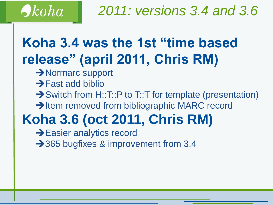*2011: versions 3.4 and 3.6*

# **Koha 3.4 was the 1st "time based release" (april 2011, Chris RM)**

- **→ Normarc support**
- $\rightarrow$  Fast add biblio
- → Switch from H::T::P to T::T for template (presentation)
- $\rightarrow$  Item removed from bibliographic MARC record

# **Koha 3.6 (oct 2011, Chris RM)**

- **→ Easier analytics record**
- → 365 bugfixes & improvement from 3.4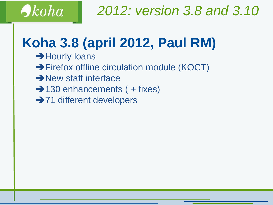### *2012: version 3.8 and 3.10*

# **Koha 3.8 (april 2012, Paul RM)**

- **→ Hourly loans** Firefox offline circulation module (KOCT)  $\rightarrow$  New staff interface  $\rightarrow$  130 enhancements ( + fixes)
- **→71 different developers**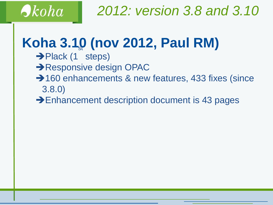*2012: version 3.8 and 3.10*

# **Koha 3.10 (nov 2012, Paul RM)**

- → Plack (1 steps)
- → Responsive design OPAC
- → 160 enhancements & new features, 433 fixes (since 3.8.0)
- **→ Enhancement description document is 43 pages**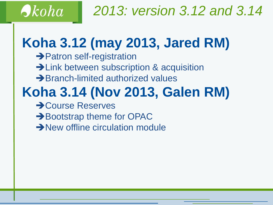*2013: version 3.12 and 3.14*

# **Koha 3.12 (may 2013, Jared RM)**

- → Patron self-registration
- → Link between subscription & acquisition
- $\rightarrow$  Branch-limited authorized values

## **Koha 3.14 (Nov 2013, Galen RM)**

**→ Course Reserves → Bootstrap theme for OPAC → New offline circulation module**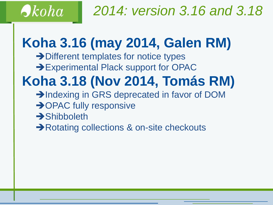*2014: version 3.16 and 3.18*

# **Koha 3.16 (may 2014, Galen RM)**

- $\rightarrow$  Different templates for notice types
- → Experimental Plack support for OPAC

# **Koha 3.18 (Nov 2014, Tomás RM)**

- → Indexing in GRS deprecated in favor of DOM
- **→ OPAC fully responsive**
- $\rightarrow$ Shibboleth
- **→ Rotating collections & on-site checkouts**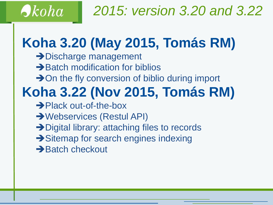*2015: version 3.20 and 3.22*

# **Koha 3.20 (May 2015, Tomás RM)**

- **→ Discharge management**
- $\rightarrow$  Batch modification for biblios
- $\rightarrow$  On the fly conversion of biblio during import

# **Koha 3.22 (Nov 2015, Tomás RM)**

- → Plack out-of-the-box
- Webservices (Restul API)
- → Digital library: attaching files to records
- $\rightarrow$  Sitemap for search engines indexing
- $\rightarrow$  Batch checkout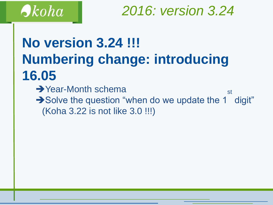#### *2016: version 3.24*

# **No version 3.24 !!! Numbering change: introducing 16.05**

 $\rightarrow$  Year-Month schema → Solve the question "when do we update the 1 digit" st (Koha 3.22 is not like 3.0 !!!)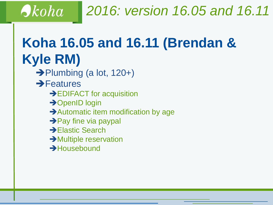#### *2016: version 16.05 and 16.11*  $\boldsymbol{\beta}$ koha

### **Koha 16.05 and 16.11 (Brendan & Kyle RM)**

→ Plumbing (a lot, 120+)

 $\rightarrow$ Features

- **→ EDIFACT for acquisition**
- → OpenID login
- **→ Automatic item modification by age**
- $\rightarrow$  Pay fine via paypal
- **→ Elastic Search**
- Multiple reservation
- **→ Housebound**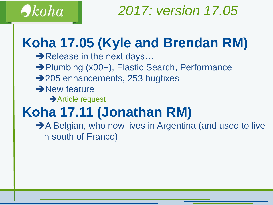#### *2017: version 17.05*

# **Koha 17.05 (Kyle and Brendan RM)**

- $\rightarrow$ Release in the next days...
- → Plumbing (x00+), Elastic Search, Performance
- → 205 enhancements, 253 bugfixes
- $\rightarrow$  New feature
	- Article request

### **Koha 17.11 (Jonathan RM)**

A Belgian, who now lives in Argentina (and used to live in south of France)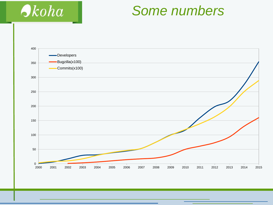

#### *Some numbers*

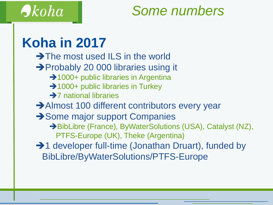#### *Some numbers*

#### **Koha in 2017**  $\rightarrow$  The most used ILS in the world → Probably 20 000 libraries using it → 1000+ public libraries in Argentina → 1000+ public libraries in Turkey  $\rightarrow$  7 national libraries Almost 100 different contributors every year **→ Some major support Companies** → BibLibre (France), ByWaterSolutions (USA), Catalyst (NZ), PTFS-Europe (UK), Theke (Argentina) → 1 developer full-time (Jonathan Druart), funded by BibLibre/ByWaterSolutions/PTFS-Europe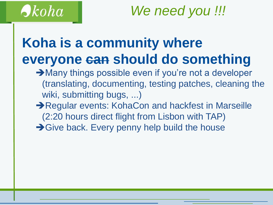#### *We need you !!!*

#### **Koha is a community where everyone can should do something**

- → Many things possible even if you're not a developer (translating, documenting, testing patches, cleaning the wiki, submitting bugs, ...)
- **→ Regular events: KohaCon and hackfest in Marseille** (2:20 hours direct flight from Lisbon with TAP)  $\rightarrow$  Give back. Every penny help build the house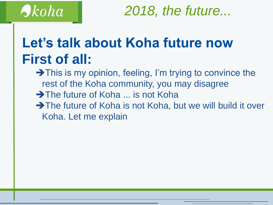*2018, the future...*

### **Let's talk about Koha future now First of all:**

 $\rightarrow$  This is my opinion, feeling, I'm trying to convince the rest of the Koha community, you may disagree  $\rightarrow$  The future of Koha ... is not Koha → The future of Koha is not Koha, but we will build it over Koha. Let me explain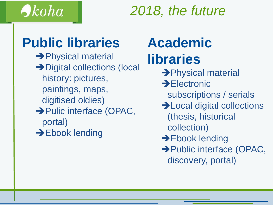### *2018, the future*

## **Public libraries**

 $\rightarrow$  Physical material **→ Digital collections (local** history: pictures, paintings, maps, digitised oldies) → Pulic interface (OPAC, portal) **→ Ebook lending** 

## **Academic libraries**

- → Physical material
- **→ Electronic** subscriptions / serials
- → Local digital collections (thesis, historical collection)
- **→ Ebook lending**
- → Public interface (OPAC, discovery, portal)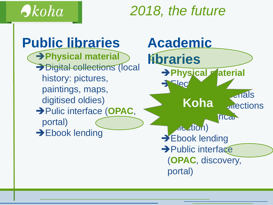#### *2018, the future*

**Public libraries Physical material**  $\rightarrow$  Digital collections (local history: pictures, paintings, maps, digitised oldies) Pulic interface (**OPAC**, portal) **→ Ebook lending** 

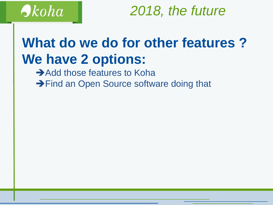

### **What do we do for other features ? We have 2 options:**

Add those features to Koha → Find an Open Source software doing that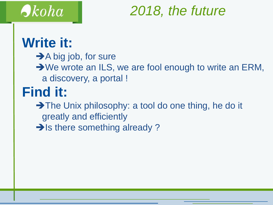#### *2018, the future*

#### **Write it:**

 $\rightarrow$  A big job, for sure → We wrote an ILS, we are fool enough to write an ERM, a discovery, a portal !

### **Find it:**

- The Unix philosophy: a tool do one thing, he do it greatly and efficiently
- $\rightarrow$  Is there something already ?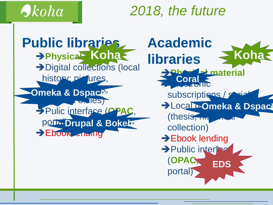### *2018, the future*

**Public libraries Physical Kohaz** → Digital collections (local history: pictures, neka & Denacev ruilles) Pulic interface (**OPAC**, portal) **Drupal & Bokeh**  $\rightarrow$  Ebook critically **Omeka & Dspace**

**Academic libraries Pat material**  $E = \frac{1}{2}$ subscriptions / series  $\rightarrow$  **Local digital cometa & Dspace** (thesis,  $m_1$ collection) **→ Ebook lending** → Public interface (**OPAC**, discovery, portal) **Coral EDS Koha Koha**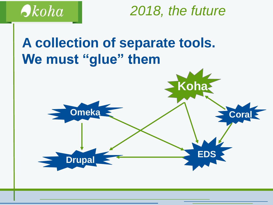

### **A collection of separate tools. We must "glue" them**

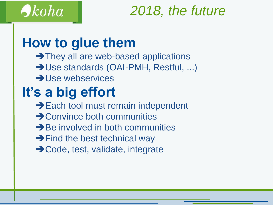#### *2018, the future*

#### **How to glue them**

- $\rightarrow$  They all are web-based applications → Use standards (OAI-PMH, Restful, ...)
- **→ Use webservices**

### **It's a big effort**

- **→ Each tool must remain independent → Convince both communities**  $\rightarrow$  Be involved in both communities  $\rightarrow$  Find the best technical way
	- → Code, test, validate, integrate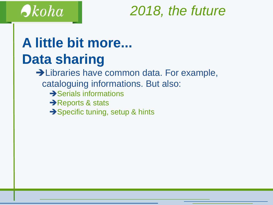#### *2018, the future*

### **A little bit more... Data sharing**

- Libraries have common data. For example,
	- cataloguing informations. But also:
		- Serials informations
		- **→ Reports & stats**
		- **→ Specific tuning, setup & hints**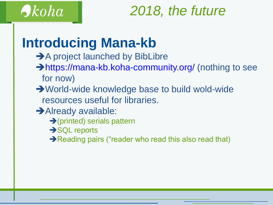### *2018, the future*

### **Introducing Mana-kb**

- A project launched by BibLibre
- <https://mana-kb.koha-community.org/> (nothing to see for now)
- World-wide knowledge base to build wold-wide resources useful for libraries.
- Already available:
	- $\rightarrow$  (printed) serials pattern
	- → SQL reports
	- $\rightarrow$  Reading pairs ("reader who read this also read that)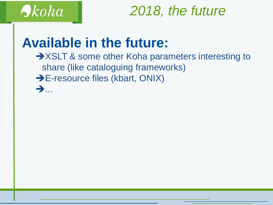

### **Available in the future:**

→ XSLT & some other Koha parameters interesting to share (like cataloguing frameworks) → E-resource files (kbart, ONIX)

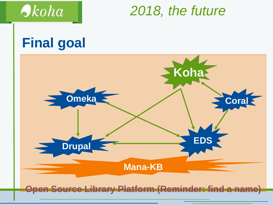

#### **Final goal**

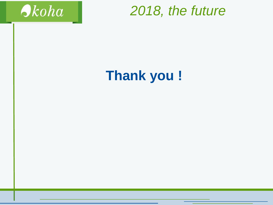

## **Thank you !**